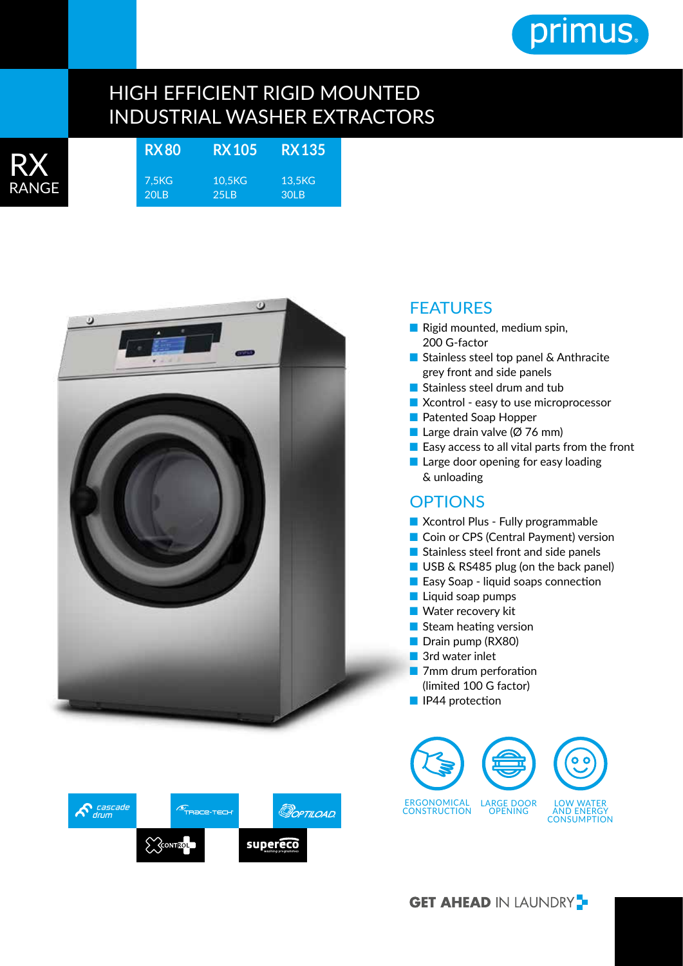

## HIGH EFFICIENT RIGID MOUNTED INDUSTRIAL WASHER EXTRACTORS

| <b>RX</b> | <b>RX80</b>    | <b>RX 105</b>  | <b>RX 135</b>  |
|-----------|----------------|----------------|----------------|
| RANGE     | 7.5KG<br>201 B | 10.5KG<br>25LB | 13.5KG<br>30LB |
|           |                |                |                |



## **FFATURFS**

- Rigid mounted, medium spin, 200 G-factor
- Stainless steel top panel & Anthracite grey front and side panels
- Stainless steel drum and tub
- Xcontrol easy to use microprocessor
- Patented Soap Hopper
- Large drain valve (Ø 76 mm)
- Easy access to all vital parts from the front
- Large door opening for easy loading & unloading

## **OPTIONS**

- Xcontrol Plus Fully programmable ■ Coin or CPS (Central Payment) version
- Stainless steel front and side panels
- USB & RS485 plug (on the back panel)
- Easy Soap liquid soaps connection
- Liquid soap pumps
- Water recovery kit
- Steam heating version
- Drain pump (RX80)
- 3rd water inlet
- 7mm drum perforation (limited 100 G factor)
- IP44 protection





**GET AHEAD IN LAUNDRY**